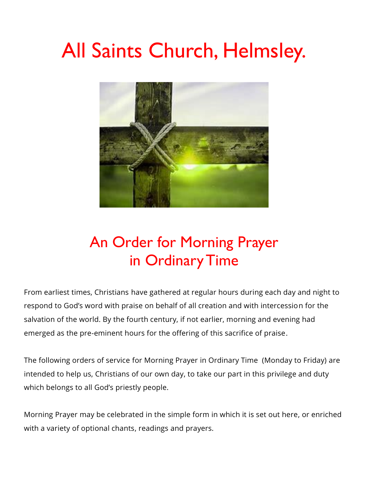# All Saints Church, Helmsley.



# An Order for Morning Prayer in Ordinary Time

From earliest times, Christians have gathered at regular hours during each day and night to respond to God's word with praise on behalf of all creation and with intercession for the salvation of the world. By the fourth century, if not earlier, morning and evening had emerged as the pre-eminent hours for the offering of this sacrifice of praise.

The following orders of service for Morning Prayer in Ordinary Time (Monday to Friday) are intended to help us, Christians of our own day, to take our part in this privilege and duty which belongs to all God's priestly people.

Morning Prayer may be celebrated in the simple form in which it is set out here, or enriched with a variety of optional chants, readings and prayers.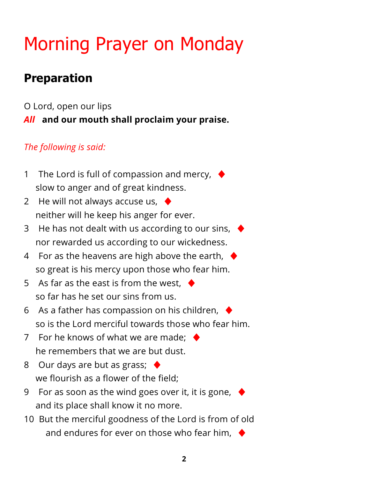# Morning Prayer on Monday

# **Preparation**

O Lord, open our lips *All* **and our mouth shall proclaim your praise.**

## *The following is said:*

- 1 The Lord is full of compassion and mercy,  $\blacklozenge$ slow to anger and of great kindness.
- 2 He will not always accuse us,  $\blacklozenge$ neither will he keep his anger for ever.
- 3 He has not dealt with us according to our sins,  $\blacklozenge$ nor rewarded us according to our wickedness.
- 4 For as the heavens are high above the earth,  $\blacklozenge$ so great is his mercy upon those who fear him.
- 5 As far as the east is from the west.  $\blacklozenge$ so far has he set our sins from us.
- 6 As a father has compassion on his children,  $\rightarrow$ so is the Lord merciful towards those who fear him.
- 7 For he knows of what we are made:  $\blacklozenge$ he remembers that we are but dust.
- 8 Our days are but as grass;  $\blacklozenge$ we flourish as a flower of the field;
- 9 For as soon as the wind goes over it, it is gone,  $\blacklozenge$ and its place shall know it no more.
- 10 But the merciful goodness of the Lord is from of old and endures for ever on those who fear him,  $\blacklozenge$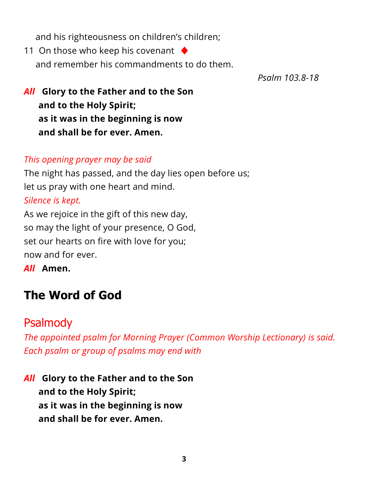and his righteousness on children's children;

11 On those who keep his covenant  $\blacklozenge$ and remember his commandments to do them.

*Psalm 103.8-18*

*All* **Glory to the Father and to the Son and to the Holy Spirit; as it was in the beginning is now and shall be for ever. Amen.**

#### *This opening prayer may be said*

The night has passed, and the day lies open before us; let us pray with one heart and mind. *Silence is kept.* As we rejoice in the gift of this new day,

so may the light of your presence, O God, set our hearts on fire with love for you; now and for ever.

*All* **Amen.**

# **The Word of God**

## [Psalmody](https://www.churchofengland.org/common-material/psalter#mm13a)

*The appointed psalm for Morning Prayer (Common Worship Lectionary) is said. Each psalm or group of psalms may end with*

*All* **Glory to the Father and to the Son and to the Holy Spirit; as it was in the beginning is now and shall be for ever. Amen.**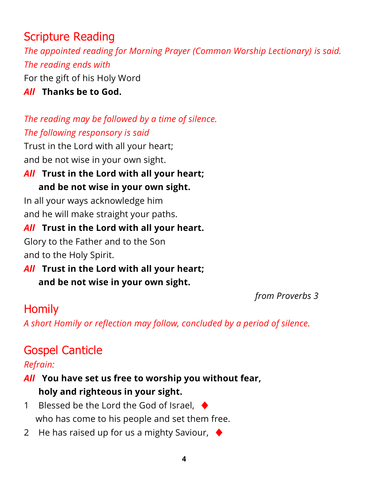# Scripture Reading

*The appointed reading for Morning Prayer (Common Worship Lectionary) is said. The reading ends with*

For the gift of his Holy Word

*All* **Thanks be to God.**

## *The reading may be followed by a time of silence. The following responsory is said*

Trust in the Lord with all your heart; and be not wise in your own sight.

## *All* **Trust in the Lord with all your heart; and be not wise in your own sight.**

In all your ways acknowledge him and he will make straight your paths.

## *All* **Trust in the Lord with all your heart.**

Glory to the Father and to the Son and to the Holy Spirit.

*All* **Trust in the Lord with all your heart; and be not wise in your own sight.**

*from Proverbs 3*

# **Homily**

*A short Homily or reflection may follow, concluded by a period of silence.*

# Gospel Canticle

*Refrain:*

## *All* **You have set us free to worship you without fear, holy and righteous in your sight.**

- 1 Blessed be the Lord the God of Israel,  $\triangleleft$ who has come to his people and set them free.
- 2 He has raised up for us a mighty Saviour,  $\blacklozenge$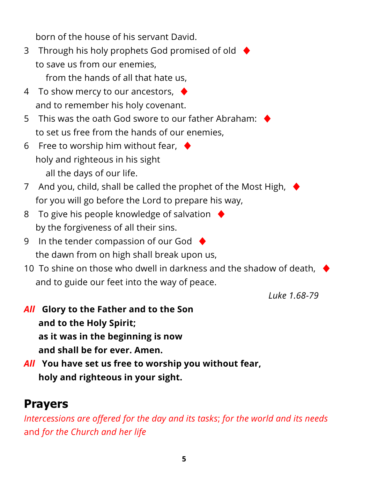born of the house of his servant David.

- 3 Through his holy prophets God promised of old ♦ to save us from our enemies,
	- from the hands of all that hate us,
- 4 To show mercy to our ancestors, ♦ and to remember his holy covenant.
- 5 This was the oath God swore to our father Abraham:  $\cdot$ to set us free from the hands of our enemies,
- 6 Free to worship him without fear,  $\blacklozenge$ holy and righteous in his sight all the days of our life.
- 7 And you, child, shall be called the prophet of the Most High,  $\rightarrow$ for you will go before the Lord to prepare his way,
- 8 To give his people knowledge of salvation  $\blacklozenge$ by the forgiveness of all their sins.
- 9 In the tender compassion of our God  $\blacklozenge$ the dawn from on high shall break upon us,
- 10 To shine on those who dwell in darkness and the shadow of death,  $\blacklozenge$ and to guide our feet into the way of peace.

*Luke 1.68-79*

- *All* **Glory to the Father and to the Son and to the Holy Spirit; as it was in the beginning is now and shall be for ever. Amen.**
- *All* **You have set us free to worship you without fear, holy and righteous in your sight.**

# **Prayers**

*Intercessions are offered for the day and its tasks*; *for the world and its needs* and *for the Church and her life*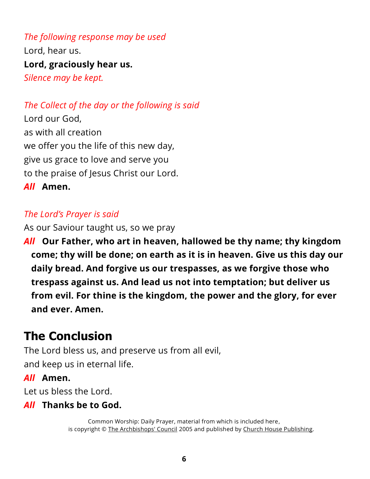*The following response may be used* Lord, hear us. **Lord, graciously hear us.** *Silence may be kept.*

*The Collect of the day or the following is said*

Lord our God, as with all creation we offer you the life of this new day, give us grace to love and serve you to the praise of Jesus Christ our Lord. *All* **Amen.**

#### *The Lord's Prayer is said*

As our Saviour taught us, so we pray

*All* **Our Father, who art in heaven, hallowed be thy name; thy kingdom come; thy will be done; on earth as it is in heaven. Give us this day our daily bread. And forgive us our trespasses, as we forgive those who trespass against us. And lead us not into temptation; but deliver us from evil. For thine is the kingdom, the power and the glory, for ever and ever. Amen.**

# **The Conclusion**

The Lord bless us, and preserve us from all evil, and keep us in eternal life.

#### *All* **Amen.**

Let us bless the Lord.

#### *All* **Thanks be to God.**

Common Worship: Daily Prayer, material from which is included here, is copyright © [The Archbishops' Council](https://www.churchofengland.org/copyright) 2005 and published by [Church House Publishing.](https://www.chpublishing.co.uk/)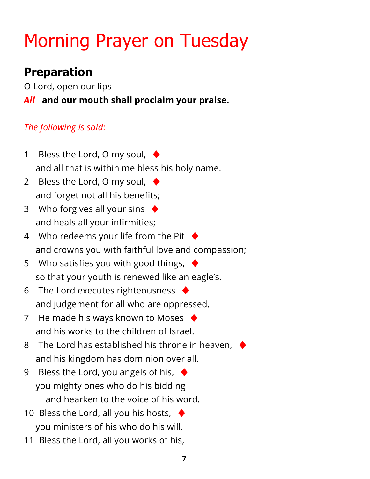# Morning Prayer on Tuesday

# **Preparation**

O Lord, open our lips

## *All* **and our mouth shall proclaim your praise.**

## *The following is said:*

- 1 Bless the Lord, O my soul,  $\blacklozenge$ and all that is within me bless his holy name.
- 2 Bless the Lord, O my soul,  $\blacklozenge$ and forget not all his benefits;
- 3 Who forgives all your sins  $\blacklozenge$ and heals all your infirmities;
- 4 Who redeems your life from the Pit  $\blacklozenge$ and crowns you with faithful love and compassion;
- 5 Who satisfies you with good things,  $\rightarrow$ so that your youth is renewed like an eagle's.
- 6 The Lord executes righteousness  $\blacklozenge$ and judgement for all who are oppressed.
- 7 He made his ways known to Moses  $\blacklozenge$ and his works to the children of Israel.
- 8 The Lord has established his throne in heaven,  $\blacklozenge$ and his kingdom has dominion over all.
- 9 Bless the Lord, you angels of his,  $\blacklozenge$ you mighty ones who do his bidding and hearken to the voice of his word.
- 10 Bless the Lord, all you his hosts,  $\blacklozenge$ you ministers of his who do his will.
- 11 Bless the Lord, all you works of his,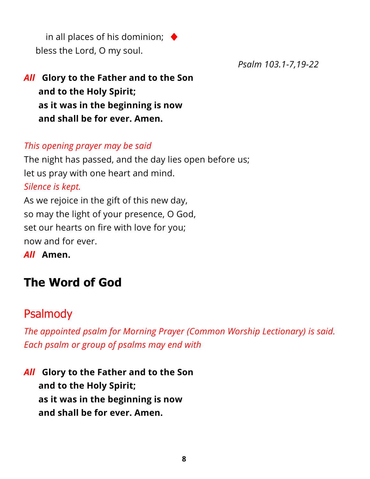in all places of his dominion;  $\triangleleft$ bless the Lord, O my soul.

*Psalm 103.1-7,19-22*

## *All* **Glory to the Father and to the Son and to the Holy Spirit; as it was in the beginning is now and shall be for ever. Amen.**

#### *This opening prayer may be said*

The night has passed, and the day lies open before us; let us pray with one heart and mind. *Silence is kept.* As we rejoice in the gift of this new day, so may the light of your presence, O God, set our hearts on fire with love for you; now and for ever.

*All* **Amen.**

# **The Word of God**

## [Psalmody](https://www.churchofengland.org/common-material/psalter#mm13a)

*The appointed psalm for Morning Prayer (Common Worship Lectionary) is said. Each psalm or group of psalms may end with*

*All* **Glory to the Father and to the Son and to the Holy Spirit; as it was in the beginning is now and shall be for ever. Amen.**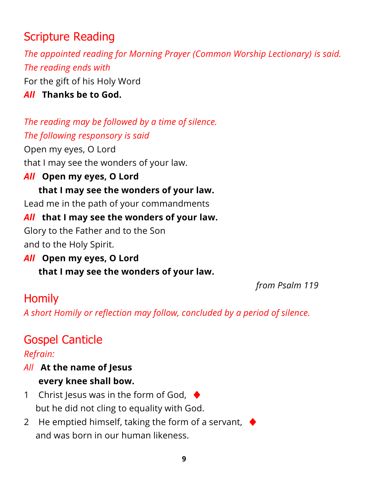# Scripture Reading

*The appointed reading for Morning Prayer (Common Worship Lectionary) is said. The reading ends with* For the gift of his Holy Word

*All* **Thanks be to God.**

*The reading may be followed by a time of silence. The following responsory is said*

Open my eyes, O Lord that I may see the wonders of your law.

### *All* **Open my eyes, O Lord**

## **that I may see the wonders of your law.**

Lead me in the path of your commandments

## *All* **that I may see the wonders of your law.**

Glory to the Father and to the Son and to the Holy Spirit.

*All* **Open my eyes, O Lord that I may see the wonders of your law.**

*from Psalm 119*

# **Homily**

*A short Homily or reflection may follow, concluded by a period of silence.*

# Gospel Canticle

### *Refrain:*

### *All* **At the name of Jesus every knee shall bow.**

- 1 Christ Jesus was in the form of God,  $\blacklozenge$ but he did not cling to equality with God.
- 2 He emptied himself, taking the form of a servant,  $\blacklozenge$ and was born in our human likeness.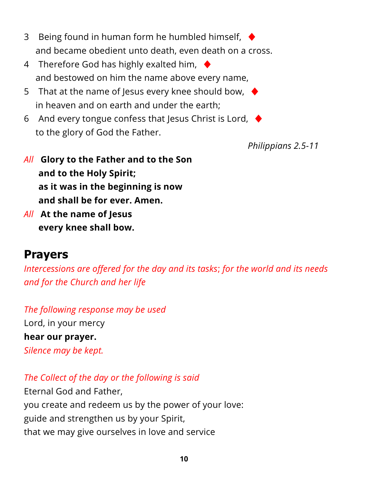- 3 Being found in human form he humbled himself,  $\blacklozenge$ and became obedient unto death, even death on a cross.
- 4 Therefore God has highly exalted him,  $\blacklozenge$ and bestowed on him the name above every name,
- 5 That at the name of Jesus every knee should bow,  $\blacklozenge$ in heaven and on earth and under the earth;
- 6 And every tongue confess that Jesus Christ is Lord,  $\blacklozenge$ to the glory of God the Father.

*Philippians 2.5-11*

- *All* **Glory to the Father and to the Son and to the Holy Spirit; as it was in the beginning is now and shall be for ever. Amen.**
- *All* **At the name of Jesus every knee shall bow.**

## **Prayers**

*Intercessions are offered for the day and its tasks*; *for the world and its needs and for the Church and her life*

*The following response may be used* Lord, in your mercy **hear our prayer.** *Silence may be kept.*

*The Collect of the day or the following is said*

Eternal God and Father, you create and redeem us by the power of your love: guide and strengthen us by your Spirit, that we may give ourselves in love and service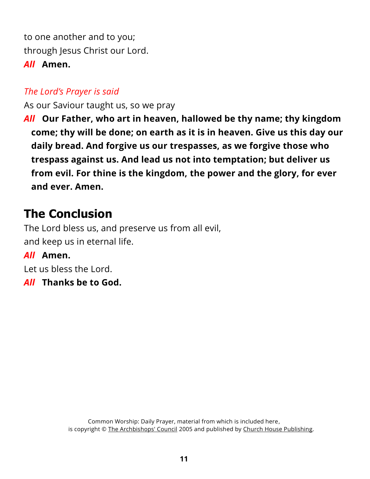to one another and to you; through Jesus Christ our Lord. *All* **Amen.**

#### *The Lord's Prayer is said*

As our Saviour taught us, so we pray

*All* **Our Father, who art in heaven, hallowed be thy name; thy kingdom come; thy will be done; on earth as it is in heaven. Give us this day our daily bread. And forgive us our trespasses, as we forgive those who trespass against us. And lead us not into temptation; but deliver us from evil. For thine is the kingdom, the power and the glory, for ever and ever. Amen.**

## **The Conclusion**

The Lord bless us, and preserve us from all evil, and keep us in eternal life.

#### *All* **Amen.**

Let us bless the Lord.

*All* **Thanks be to God.**

Common Worship: Daily Prayer, material from which is included here, is copyright © [The Archbishops' Council](https://www.churchofengland.org/copyright) 2005 and published by [Church House Publishing.](https://www.chpublishing.co.uk/)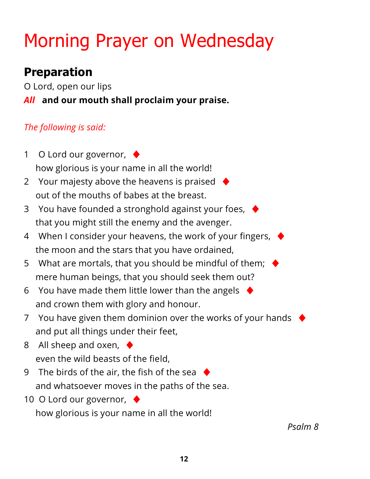# Morning Prayer on Wednesday

# **Preparation**

O Lord, open our lips

*All* **and our mouth shall proclaim your praise.**

## *The following is said:*

- 1 O Lord our governor, ♦ how glorious is your name in all the world!
- 2 Your majesty above the heavens is praised  $\blacklozenge$ out of the mouths of babes at the breast.
- 3 You have founded a stronghold against your foes, ♦ that you might still the enemy and the avenger.
- 4 When I consider your heavens, the work of your fingers,  $\blacklozenge$ the moon and the stars that you have ordained,
- 5 What are mortals, that you should be mindful of them;  $\blacklozenge$ mere human beings, that you should seek them out?
- 6 You have made them little lower than the angels  $\blacklozenge$ and crown them with glory and honour.
- 7 You have given them dominion over the works of your hands  $\blacklozenge$ and put all things under their feet,
- 8 All sheep and oxen,  $\blacklozenge$ even the wild beasts of the field,
- 9 The birds of the air, the fish of the sea  $\blacklozenge$ and whatsoever moves in the paths of the sea.
- 10 O Lord our governor, ♦

how glorious is your name in all the world!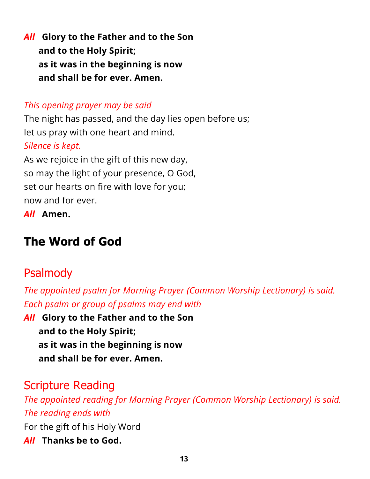*All* **Glory to the Father and to the Son and to the Holy Spirit; as it was in the beginning is now and shall be for ever. Amen.**

#### *This opening prayer may be said*

The night has passed, and the day lies open before us; let us pray with one heart and mind. *Silence is kept.* As we rejoice in the gift of this new day, so may the light of your presence, O God, set our hearts on fire with love for you;

now and for ever.

*All* **Amen.**

# **The Word of God**

## [Psalmody](https://www.churchofengland.org/common-material/psalter#mm13a)

*The appointed psalm for Morning Prayer (Common Worship Lectionary) is said. Each psalm or group of psalms may end with*

*All* **Glory to the Father and to the Son and to the Holy Spirit; as it was in the beginning is now and shall be for ever. Amen.**

## Scripture Reading

*The appointed reading for Morning Prayer (Common Worship Lectionary) is said. The reading ends with* For the gift of his Holy Word *All* **Thanks be to God.**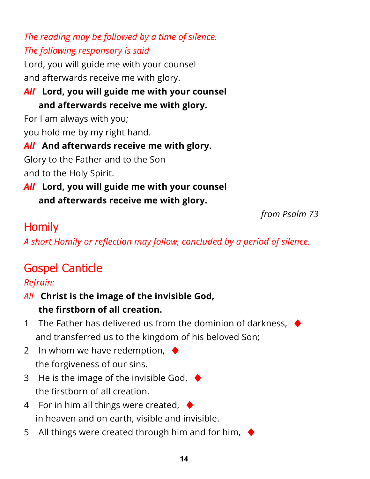*The reading may be followed by a time of silence. The following responsory is said*

Lord, you will guide me with your counsel and afterwards receive me with glory.

## *All* **Lord, you will guide me with your counsel and afterwards receive me with glory.**

For I am always with you;

you hold me by my right hand.

## *All* **And afterwards receive me with glory.**

Glory to the Father and to the Son and to the Holy Spirit.

## *All* **Lord, you will guide me with your counsel and afterwards receive me with glory.**

*from Psalm 73*

# **Homily**

*A short Homily or reflection may follow, concluded by a period of silence.*

# Gospel Canticle

## *Refrain:*

## *All* **Christ is the image of the invisible God, the firstborn of all creation.**

- 1 The Father has delivered us from the dominion of darkness,  $\blacklozenge$ and transferred us to the kingdom of his beloved Son;
- 2 In whom we have redemption,  $\blacklozenge$ the forgiveness of our sins.
- 3 He is the image of the invisible God,  $\blacklozenge$ the firstborn of all creation.
- 4 For in him all things were created,  $\blacklozenge$ in heaven and on earth, visible and invisible.
- 5 All things were created through him and for him,  $\blacklozenge$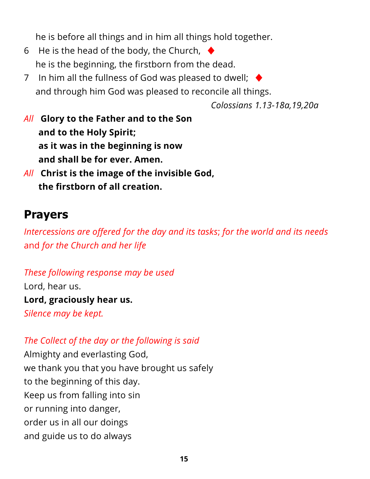he is before all things and in him all things hold together.

- 6 He is the head of the body, the Church,  $\blacklozenge$ he is the beginning, the firstborn from the dead.
- 7 In him all the fullness of God was pleased to dwell;  $\blacklozenge$ and through him God was pleased to reconcile all things.

*Colossians 1.13-18a,19,20a*

- *All* **Glory to the Father and to the Son and to the Holy Spirit; as it was in the beginning is now and shall be for ever. Amen.**
- *All* **Christ is the image of the invisible God, the firstborn of all creation.**

## **Prayers**

*Intercessions are offered for the day and its tasks*; *for the world and its needs* and *for the Church and her life*

*These following response may be used* Lord, hear us. **Lord, graciously hear us.** *Silence may be kept.*

#### *The Collect of the day or the following is said*

Almighty and everlasting God, we thank you that you have brought us safely to the beginning of this day. Keep us from falling into sin or running into danger, order us in all our doings and guide us to do always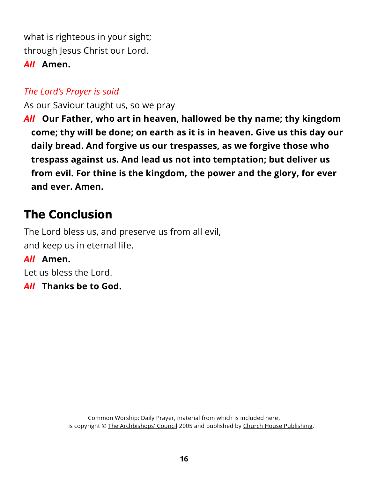what is righteous in your sight; through Jesus Christ our Lord. *All* **Amen.**

#### *The Lord's Prayer is said*

As our Saviour taught us, so we pray

*All* **Our Father, who art in heaven, hallowed be thy name; thy kingdom come; thy will be done; on earth as it is in heaven. Give us this day our daily bread. And forgive us our trespasses, as we forgive those who trespass against us. And lead us not into temptation; but deliver us from evil. For thine is the kingdom, the power and the glory, for ever and ever. Amen.**

# **The Conclusion**

The Lord bless us, and preserve us from all evil, and keep us in eternal life.

#### *All* **Amen.**

Let us bless the Lord.

*All* **Thanks be to God.**

Common Worship: Daily Prayer, material from which is included here, is copyright © [The Archbishops' Council](https://www.churchofengland.org/copyright) 2005 and published by [Church House Publishing.](https://www.chpublishing.co.uk/)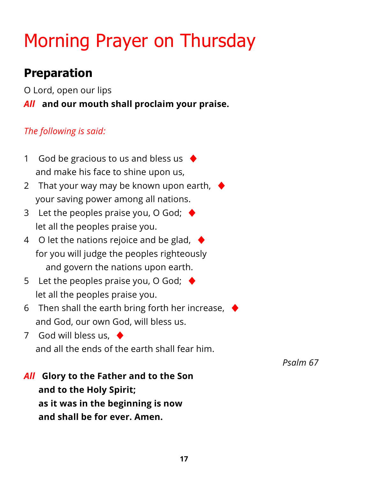# Morning Prayer on Thursday

# **Preparation**

O Lord, open our lips

*All* **and our mouth shall proclaim your praise.**

### *The following is said:*

- 1 God be gracious to us and bless us  $\blacklozenge$ and make his face to shine upon us,
- 2 That your way may be known upon earth,  $\blacklozenge$ your saving power among all nations.
- 3 Let the peoples praise you, O God;  $\blacklozenge$ let all the peoples praise you.
- 4 O let the nations rejoice and be glad,  $\blacklozenge$ for you will judge the peoples righteously and govern the nations upon earth.
- 5 Let the peoples praise you, O God;  $\blacklozenge$ let all the peoples praise you.
- 6 Then shall the earth bring forth her increase,  $\blacklozenge$ and God, our own God, will bless us.
- 7 God will bless us,  $\triangleleft$ and all the ends of the earth shall fear him.

*Psalm 67*

*All* **Glory to the Father and to the Son and to the Holy Spirit; as it was in the beginning is now and shall be for ever. Amen.**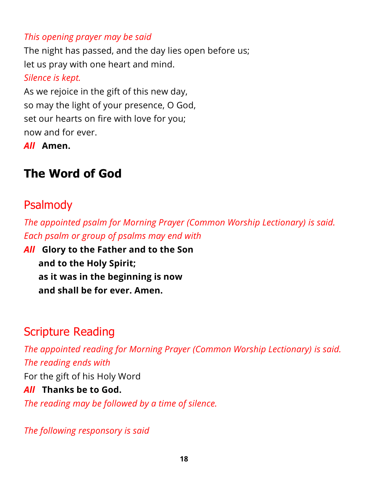#### *This opening prayer may be said*

The night has passed, and the day lies open before us; let us pray with one heart and mind.

#### *Silence is kept.*

As we rejoice in the gift of this new day, so may the light of your presence, O God, set our hearts on fire with love for you; now and for ever.

*All* **Amen.**

# **The Word of God**

# [Psalmody](https://www.churchofengland.org/common-material/psalter#mm13a)

*The appointed psalm for Morning Prayer (Common Worship Lectionary) is said. Each psalm or group of psalms may end with*

*All* **Glory to the Father and to the Son and to the Holy Spirit; as it was in the beginning is now and shall be for ever. Amen.**

# Scripture Reading

*The appointed reading for Morning Prayer (Common Worship Lectionary) is said. The reading ends with*

For the gift of his Holy Word

#### *All* **Thanks be to God.**

*The reading may be followed by a time of silence.*

*The following responsory is said*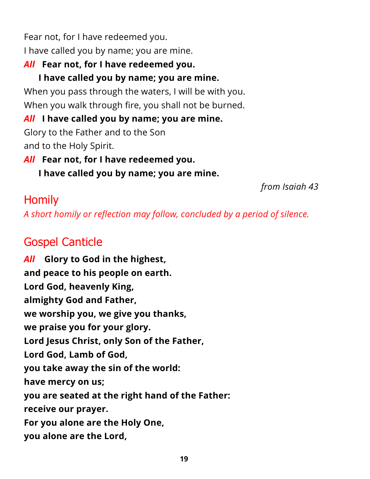Fear not, for I have redeemed you. I have called you by name; you are mine.

## *All* **Fear not, for I have redeemed you.**

## **I have called you by name; you are mine.**

When you pass through the waters, I will be with you. When you walk through fire, you shall not be burned.

## *All* **I have called you by name; you are mine.**

Glory to the Father and to the Son and to the Holy Spirit.

*All* **Fear not, for I have redeemed you.**

**I have called you by name; you are mine.**

*from Isaiah 43*

# Homily

*A short homily or reflection may follow, concluded by a period of silence.*

# Gospel Canticle

*All* **Glory to God in the highest, and peace to his people on earth. Lord God, heavenly King, almighty God and Father, we worship you, we give you thanks, we praise you for your glory. Lord Jesus Christ, only Son of the Father, Lord God, Lamb of God, you take away the sin of the world: have mercy on us; you are seated at the right hand of the Father: receive our prayer. For you alone are the Holy One, you alone are the Lord,**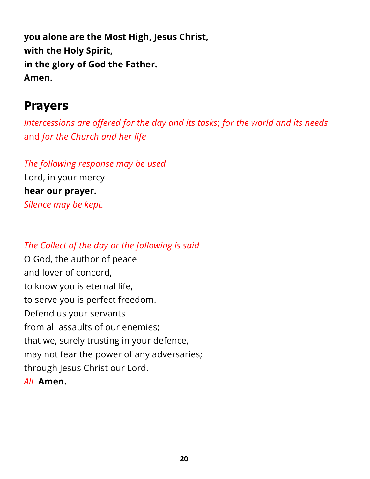**you alone are the Most High, Jesus Christ, with the Holy Spirit, in the glory of God the Father. Amen.**

## **Prayers**

*Intercessions are offered for the day and its tasks*; *for the world and its needs* and *for the Church and her life*

*The following response may be used* Lord, in your mercy **hear our prayer.** *Silence may be kept.*

#### *The Collect of the day or the following is said*

O God, the author of peace and lover of concord, to know you is eternal life, to serve you is perfect freedom. Defend us your servants from all assaults of our enemies; that we, surely trusting in your defence, may not fear the power of any adversaries; through Jesus Christ our Lord. *All* **Amen.**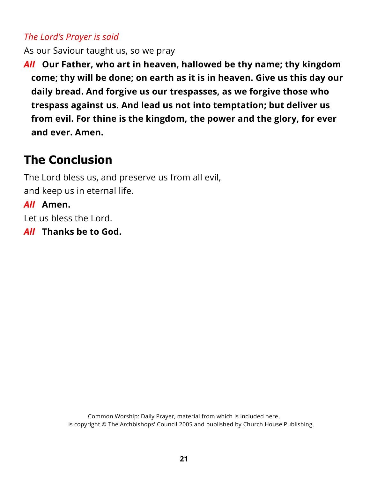#### *The Lord's Prayer is said*

As our Saviour taught us, so we pray

*All* **Our Father, who art in heaven, hallowed be thy name; thy kingdom come; thy will be done; on earth as it is in heaven. Give us this day our daily bread. And forgive us our trespasses, as we forgive those who trespass against us. And lead us not into temptation; but deliver us from evil. For thine is the kingdom, the power and the glory, for ever and ever. Amen.**

# **The Conclusion**

The Lord bless us, and preserve us from all evil, and keep us in eternal life.

### *All* **Amen.**

Let us bless the Lord.

*All* **Thanks be to God.**

Common Worship: Daily Prayer, material from which is included here, is copyright © [The Archbishops' Council](https://www.churchofengland.org/copyright) 2005 and published by [Church House Publishing.](https://www.chpublishing.co.uk/)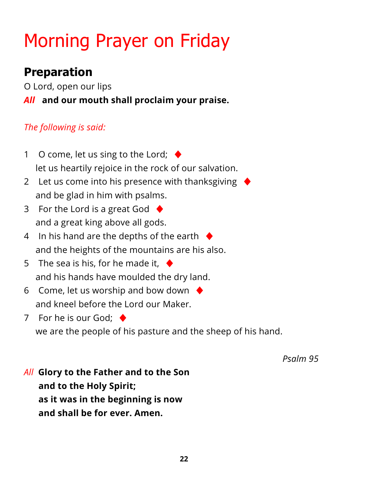# Morning Prayer on Friday

# **Preparation**

O Lord, open our lips

*All* **and our mouth shall proclaim your praise.**

## *The following is said:*

- 1 O come, let us sing to the Lord;  $\blacklozenge$ let us heartily rejoice in the rock of our salvation.
- 2 Let us come into his presence with thanksgiving and be glad in him with psalms.
- 3 For the Lord is a great God  $\blacklozenge$ and a great king above all gods.
- 4 In his hand are the depths of the earth  $\blacklozenge$ and the heights of the mountains are his also.
- 5 The sea is his, for he made it,  $\blacklozenge$ and his hands have moulded the dry land.
- 6 Come, let us worship and bow down  $\blacklozenge$ and kneel before the Lord our Maker.

7 For he is our God:  $\blacklozenge$ we are the people of his pasture and the sheep of his hand.

*Psalm 95*

*All* **Glory to the Father and to the Son and to the Holy Spirit; as it was in the beginning is now and shall be for ever. Amen.**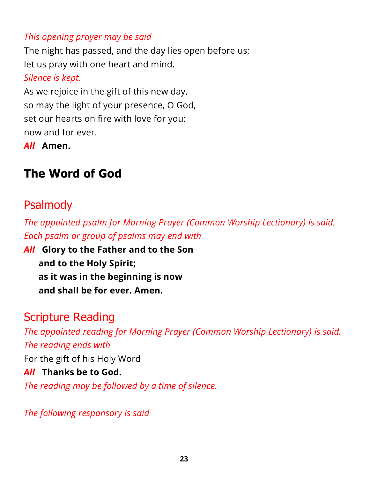#### *This opening prayer may be said*

The night has passed, and the day lies open before us; let us pray with one heart and mind.

#### *Silence is kept.*

As we rejoice in the gift of this new day, so may the light of your presence, O God, set our hearts on fire with love for you; now and for ever.

*All* **Amen.**

# **The Word of God**

## [Psalmody](https://www.churchofengland.org/common-material/psalter#mm13a)

*The appointed psalm for Morning Prayer (Common Worship Lectionary) is said. Each psalm or group of psalms may end with*

*All* **Glory to the Father and to the Son and to the Holy Spirit; as it was in the beginning is now and shall be for ever. Amen.**

## Scripture Reading

*The appointed reading for Morning Prayer (Common Worship Lectionary) is said. The reading ends with*

For the gift of his Holy Word

#### *All* **Thanks be to God.**

*The reading may be followed by a time of silence.*

*The following responsory is said*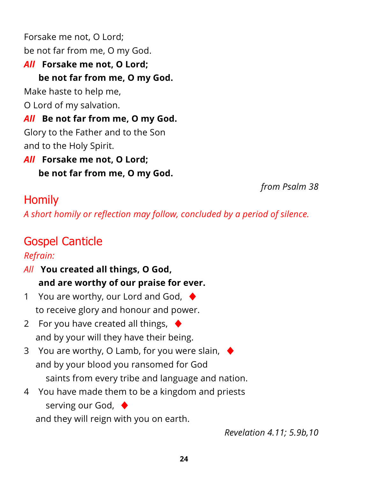Forsake me not, O Lord; be not far from me, O my God. *All* **Forsake me not, O Lord; be not far from me, O my God.** Make haste to help me, O Lord of my salvation. *All* **Be not far from me, O my God.** Glory to the Father and to the Son and to the Holy Spirit. *All* **Forsake me not, O Lord;**

**be not far from me, O my God.**

*from Psalm 38*

# **Homily**

*A short homily or reflection may follow, concluded by a period of silence.*

# Gospel Canticle

### *Refrain:*

- *All* **You created all things, O God, and are worthy of our praise for ever.**
- 1 You are worthy, our Lord and God,  $\blacklozenge$ to receive glory and honour and power.
- 2 For you have created all things,  $\blacklozenge$ and by your will they have their being.
- 3 You are worthy, O Lamb, for you were slain,  $\blacklozenge$ and by your blood you ransomed for God saints from every tribe and language and nation.
- 4 You have made them to be a kingdom and priests serving our God,  $\triangleleft$

and they will reign with you on earth.

*Revelation 4.11; 5.9b,10*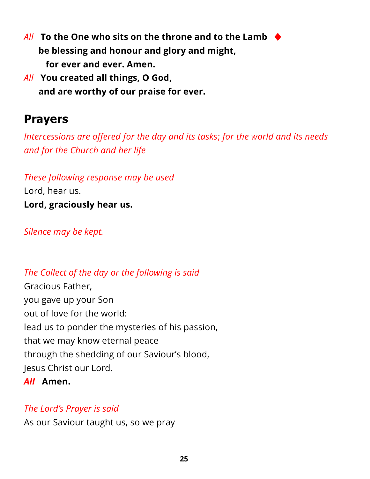- *All* **To the One who sits on the throne and to the Lamb** ♦ **be blessing and honour and glory and might, for ever and ever. Amen.**
- *All* **You created all things, O God, and are worthy of our praise for ever.**

# **Prayers**

*Intercessions are offered for the day and its tasks*; *for the world and its needs and for the Church and her life*

*These following response may be used* Lord, hear us. **Lord, graciously hear us.**

*Silence may be kept.*

*The Collect of the day or the following is said* Gracious Father, you gave up your Son out of love for the world: lead us to ponder the mysteries of his passion, that we may know eternal peace through the shedding of our Saviour's blood, Jesus Christ our Lord.

#### *All* **Amen.**

#### *The Lord's Prayer is said*

As our Saviour taught us, so we pray